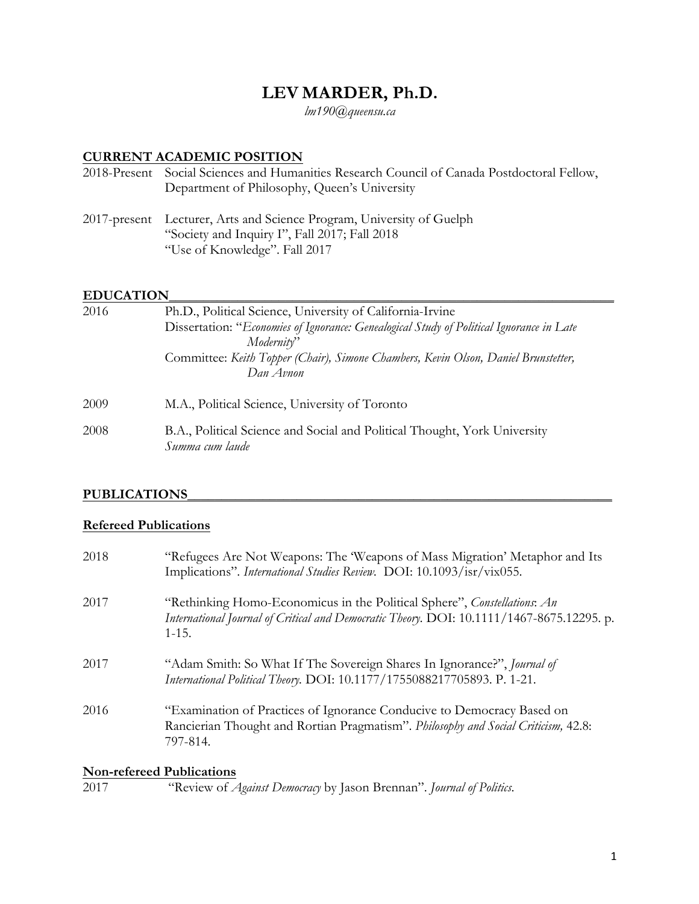# **LEV MARDER, Ph.D.**

*lm190@queensu.ca*

# **CURRENT ACADEMIC POSITION**

| 2018-Present Social Sciences and Humanities Research Council of Canada Postdoctoral Fellow,<br>Department of Philosophy, Queen's University             |
|---------------------------------------------------------------------------------------------------------------------------------------------------------|
| 2017-present Lecturer, Arts and Science Program, University of Guelph<br>"Society and Inquiry I", Fall 2017; Fall 2018<br>"Use of Knowledge". Fall 2017 |

# **EDUCATION\_\_\_\_\_\_\_\_\_\_\_\_\_\_\_\_\_\_\_\_\_\_\_\_\_\_\_\_\_\_\_\_\_\_\_\_\_\_\_\_\_\_\_\_\_\_\_\_\_\_\_\_\_\_\_\_\_\_\_\_\_\_\_\_\_**

| 2016 | Ph.D., Political Science, University of California-Irvine                                    |
|------|----------------------------------------------------------------------------------------------|
|      | Dissertation: "Economies of Ignorance: Genealogical Study of Political Ignorance in Late     |
|      | Modernity"                                                                                   |
|      | Committee: Keith Topper (Chair), Simone Chambers, Kevin Olson, Daniel Brunstetter,           |
|      | Dan Avnon                                                                                    |
| 2009 | M.A., Political Science, University of Toronto                                               |
| 2008 | B.A., Political Science and Social and Political Thought, York University<br>Summa cum laude |

# **PUBLICATIONS\_\_\_\_\_\_\_\_\_\_\_\_\_\_\_\_\_\_\_\_\_\_\_\_\_\_\_\_\_\_\_\_\_\_\_\_\_\_\_\_\_\_\_\_\_\_\_\_\_\_\_\_\_\_\_\_\_\_\_\_\_\_**

# **Refereed Publications**

| 2018 | "Refugees Are Not Weapons: The 'Weapons of Mass Migration' Metaphor and Its<br>Implications". International Studies Review. DOI: 10.1093/isr/vix055.                               |
|------|------------------------------------------------------------------------------------------------------------------------------------------------------------------------------------|
| 2017 | "Rethinking Homo-Economicus in the Political Sphere", Constellations: An<br>International Journal of Critical and Democratic Theory. DOI: 10.1111/1467-8675.12295. p.<br>$1 - 15.$ |
| 2017 | "Adam Smith: So What If The Sovereign Shares In Ignorance?", Journal of<br>International Political Theory. DOI: 10.1177/1755088217705893. P. 1-21.                                 |
| 2016 | "Examination of Practices of Ignorance Conducive to Democracy Based on<br>Rancierian Thought and Rortian Pragmatism". Philosophy and Social Criticism, 42.8:<br>797-814.           |

# **Non-refereed Publications**

| 2017 | "Review of <i>Against Democracy</i> by Jason Brennan". Journal of Politics. |  |  |  |
|------|-----------------------------------------------------------------------------|--|--|--|
|------|-----------------------------------------------------------------------------|--|--|--|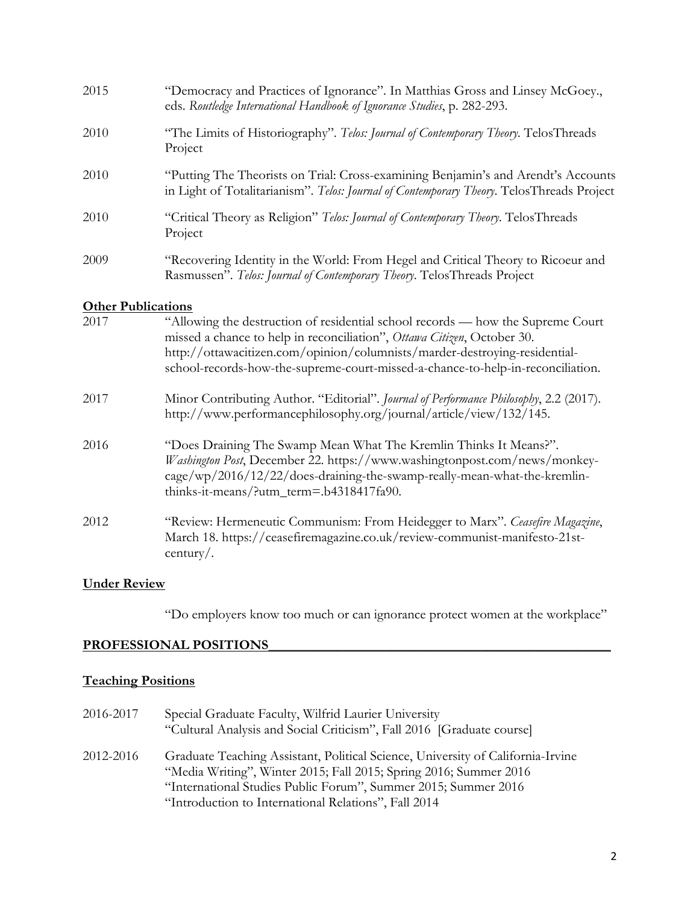| 2015                      | "Democracy and Practices of Ignorance". In Matthias Gross and Linsey McGoey.,<br>eds. Routledge International Handbook of Ignorance Studies, p. 282-293.                                                                                                                                                                                                                                                   |
|---------------------------|------------------------------------------------------------------------------------------------------------------------------------------------------------------------------------------------------------------------------------------------------------------------------------------------------------------------------------------------------------------------------------------------------------|
| 2010                      | "The Limits of Historiography". Telos: Journal of Contemporary Theory. TelosThreads<br>Project                                                                                                                                                                                                                                                                                                             |
| 2010                      | "Putting The Theorists on Trial: Cross-examining Benjamin's and Arendt's Accounts<br>in Light of Totalitarianism". Telos: Journal of Contemporary Theory. TelosThreads Project                                                                                                                                                                                                                             |
| 2010                      | "Critical Theory as Religion" Telos: Journal of Contemporary Theory. TelosThreads<br>Project                                                                                                                                                                                                                                                                                                               |
| 2009                      | "Recovering Identity in the World: From Hegel and Critical Theory to Ricoeur and<br>Rasmussen". Telos: Journal of Contemporary Theory. TelosThreads Project                                                                                                                                                                                                                                                |
| <b>Other Publications</b> |                                                                                                                                                                                                                                                                                                                                                                                                            |
| 2017                      | "Allowing the destruction of residential school records — how the Supreme Court<br>missed a chance to help in reconciliation", Ottawa Citizen, October 30.<br>http://ottawacitizen.com/opinion/columnists/marder-destroying-residential-<br>school-records-how-the-supreme-court-missed-a-chance-to-help-in-reconciliation.                                                                                |
| 2017                      | Minor Contributing Author. "Editorial". Journal of Performance Philosophy, 2.2 (2017).<br>http://www.performancephilosophy.org/journal/article/view/132/145.                                                                                                                                                                                                                                               |
| 2016                      | "Does Draining The Swamp Mean What The Kremlin Thinks It Means?".<br>$\mathbf{H}^{II}$ $\mathbf{I}^{\dagger}$ $\mathbf{I}$ $\mathbf{I}$ $\mathbf{R}$ $\mathbf{R}$ $\mathbf{I}$ $\mathbf{R}$ $\mathbf{R}$ $\mathbf{I}$ $\mathbf{R}$ $\mathbf{R}$ $\mathbf{I}$ $\mathbf{I}$ $\mathbf{R}$ $\mathbf{R}$ $\mathbf{I}$ $\mathbf{I}$ $\mathbf{R}$ $\mathbf{I}$ $\mathbf{I}$ $\mathbf{I}$ $\mathbf{I}$ $\mathbf{I$ |

- *Washington Post*, December 22. https://www.washingtonpost.com/news/monkeycage/wp/2016/12/22/does-draining-the-swamp-really-mean-what-the-kremlinthinks-it-means/?utm\_term=.b4318417fa90.
- 2012 "Review: Hermeneutic Communism: From Heidegger to Marx". *Ceasefire Magazine*, March 18. https://ceasefiremagazine.co.uk/review-communist-manifesto-21stcentury/.

# **Under Review**

"Do employers know too much or can ignorance protect women at the workplace"

### PROFESSIONAL POSITIONS

# **Teaching Positions**

| 2016-2017 | Special Graduate Faculty, Wilfrid Laurier University<br>"Cultural Analysis and Social Criticism", Fall 2016 [Graduate course]                                                                                                                                                  |
|-----------|--------------------------------------------------------------------------------------------------------------------------------------------------------------------------------------------------------------------------------------------------------------------------------|
| 2012-2016 | Graduate Teaching Assistant, Political Science, University of California-Irvine<br>"Media Writing", Winter 2015; Fall 2015; Spring 2016; Summer 2016<br>"International Studies Public Forum", Summer 2015; Summer 2016<br>"Introduction to International Relations", Fall 2014 |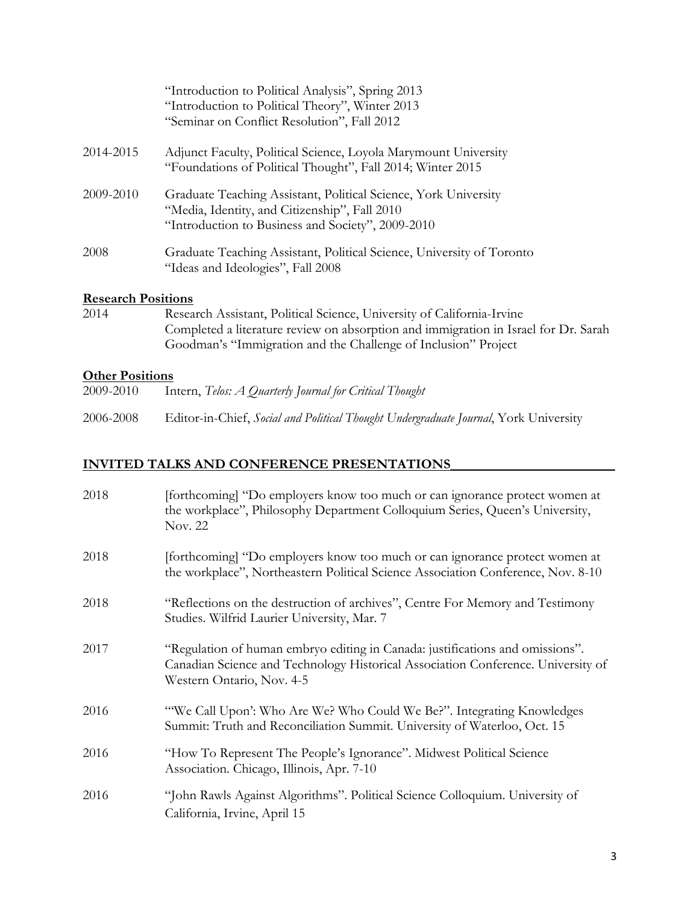|           | "Introduction to Political Analysis", Spring 2013<br>"Introduction to Political Theory", Winter 2013<br>"Seminar on Conflict Resolution", Fall 2012                   |
|-----------|-----------------------------------------------------------------------------------------------------------------------------------------------------------------------|
| 2014-2015 | Adjunct Faculty, Political Science, Loyola Marymount University<br>"Foundations of Political Thought", Fall 2014; Winter 2015                                         |
| 2009-2010 | Graduate Teaching Assistant, Political Science, York University<br>"Media, Identity, and Citizenship", Fall 2010<br>"Introduction to Business and Society", 2009-2010 |
| 2008      | Graduate Teaching Assistant, Political Science, University of Toronto<br>"Ideas and Ideologies", Fall 2008                                                            |

# **Research Positions**

2014 Research Assistant, Political Science, University of California-Irvine Completed a literature review on absorption and immigration in Israel for Dr. Sarah Goodman's "Immigration and the Challenge of Inclusion" Project

#### **Other Positions**

2006-2008 Editor-in-Chief, *Social and Political Thought Undergraduate Journal*, York University

# **INVITED TALKS AND CONFERENCE PRESENTATIONS\_\_\_\_\_\_\_\_\_\_\_\_\_\_\_\_\_\_\_\_\_\_\_\_**

| 2018 | [forthcoming] "Do employers know too much or can ignorance protect women at<br>the workplace", Philosophy Department Colloquium Series, Queen's University,<br>Nov. 22                         |
|------|------------------------------------------------------------------------------------------------------------------------------------------------------------------------------------------------|
| 2018 | [forthcoming] "Do employers know too much or can ignorance protect women at<br>the workplace", Northeastern Political Science Association Conference, Nov. 8-10                                |
| 2018 | "Reflections on the destruction of archives", Centre For Memory and Testimony<br>Studies. Wilfrid Laurier University, Mar. 7                                                                   |
| 2017 | "Regulation of human embryo editing in Canada: justifications and omissions".<br>Canadian Science and Technology Historical Association Conference. University of<br>Western Ontario, Nov. 4-5 |
| 2016 | "We Call Upon': Who Are We? Who Could We Be?". Integrating Knowledges<br>Summit: Truth and Reconciliation Summit. University of Waterloo, Oct. 15                                              |
| 2016 | "How To Represent The People's Ignorance". Midwest Political Science<br>Association. Chicago, Illinois, Apr. 7-10                                                                              |
| 2016 | "John Rawls Against Algorithms". Political Science Colloquium. University of<br>California, Irvine, April 15                                                                                   |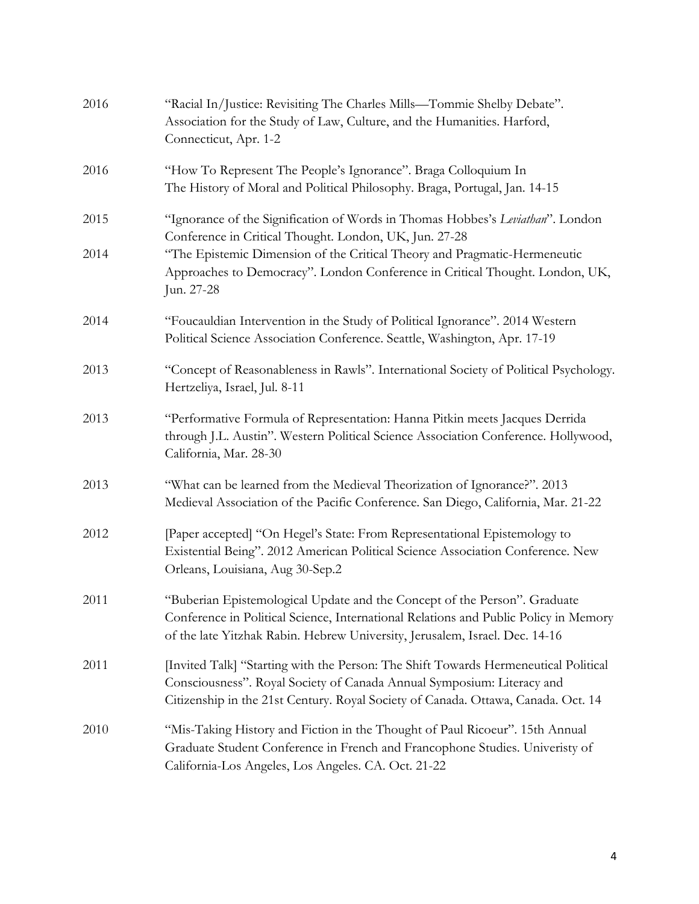| 2016 | "Racial In/Justice: Revisiting The Charles Mills—Tommie Shelby Debate".<br>Association for the Study of Law, Culture, and the Humanities. Harford,<br>Connecticut, Apr. 1-2                                                                        |
|------|----------------------------------------------------------------------------------------------------------------------------------------------------------------------------------------------------------------------------------------------------|
| 2016 | "How To Represent The People's Ignorance". Braga Colloquium In<br>The History of Moral and Political Philosophy. Braga, Portugal, Jan. 14-15                                                                                                       |
| 2015 | "Ignorance of the Signification of Words in Thomas Hobbes's Leviathan". London<br>Conference in Critical Thought. London, UK, Jun. 27-28                                                                                                           |
| 2014 | "The Epistemic Dimension of the Critical Theory and Pragmatic-Hermeneutic<br>Approaches to Democracy". London Conference in Critical Thought. London, UK,<br>Jun. 27-28                                                                            |
| 2014 | "Foucauldian Intervention in the Study of Political Ignorance". 2014 Western<br>Political Science Association Conference. Seattle, Washington, Apr. 17-19                                                                                          |
| 2013 | "Concept of Reasonableness in Rawls". International Society of Political Psychology.<br>Hertzeliya, Israel, Jul. 8-11                                                                                                                              |
| 2013 | "Performative Formula of Representation: Hanna Pitkin meets Jacques Derrida<br>through J.L. Austin". Western Political Science Association Conference. Hollywood,<br>California, Mar. 28-30                                                        |
| 2013 | "What can be learned from the Medieval Theorization of Ignorance?". 2013<br>Medieval Association of the Pacific Conference. San Diego, California, Mar. 21-22                                                                                      |
| 2012 | [Paper accepted] "On Hegel's State: From Representational Epistemology to<br>Existential Being". 2012 American Political Science Association Conference. New<br>Orleans, Louisiana, Aug 30-Sep.2                                                   |
| 2011 | "Buberian Epistemological Update and the Concept of the Person". Graduate<br>Conference in Political Science, International Relations and Public Policy in Memory<br>of the late Yitzhak Rabin. Hebrew University, Jerusalem, Israel. Dec. 14-16   |
| 2011 | [Invited Talk] "Starting with the Person: The Shift Towards Hermeneutical Political<br>Consciousness". Royal Society of Canada Annual Symposium: Literacy and<br>Citizenship in the 21st Century. Royal Society of Canada. Ottawa, Canada. Oct. 14 |
| 2010 | "Mis-Taking History and Fiction in the Thought of Paul Ricoeur". 15th Annual<br>Graduate Student Conference in French and Francophone Studies. Univeristy of<br>California-Los Angeles, Los Angeles. CA. Oct. 21-22                                |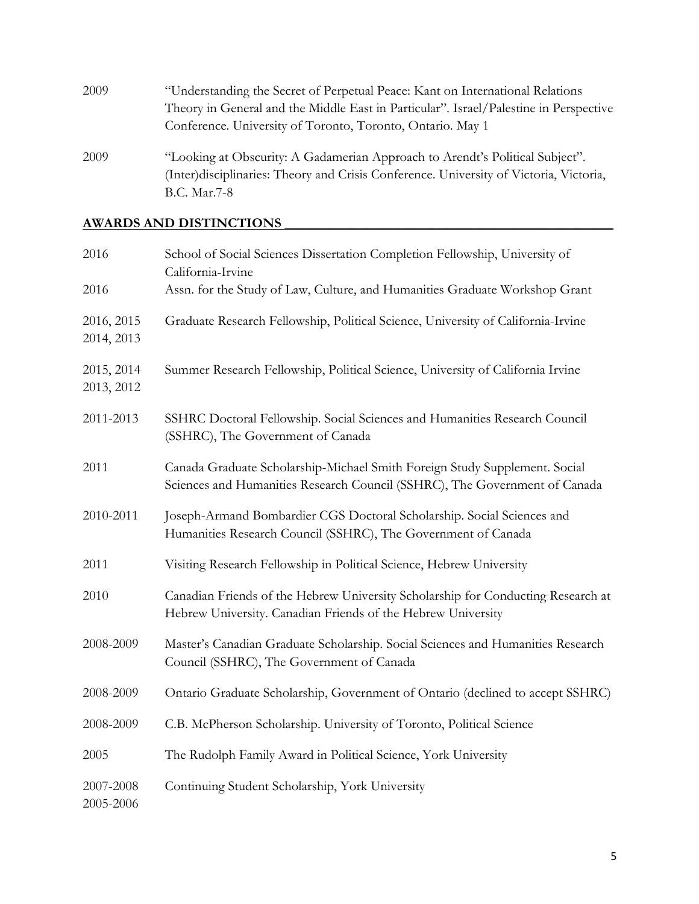| 2009 | "Understanding the Secret of Perpetual Peace: Kant on International Relations                                                                                           |
|------|-------------------------------------------------------------------------------------------------------------------------------------------------------------------------|
|      | Theory in General and the Middle East in Particular". Israel/Palestine in Perspective                                                                                   |
|      | Conference. University of Toronto, Toronto, Ontario. May 1                                                                                                              |
| 2009 | "Looking at Obscurity: A Gadamerian Approach to Arendt's Political Subject".<br>(Inter) disciplinaries: Theory and Crisis Conference. University of Victoria, Victoria, |
|      | B.C. Mar.7-8                                                                                                                                                            |

# **AWARDS AND DISTINCTIONS \_\_\_\_\_\_\_\_\_\_\_\_\_\_\_\_\_\_\_\_\_\_\_\_\_\_\_\_\_\_\_\_\_\_\_\_\_\_\_\_\_\_\_\_\_\_\_\_**

| 2016                     | School of Social Sciences Dissertation Completion Fellowship, University of<br>California-Irvine                                                         |
|--------------------------|----------------------------------------------------------------------------------------------------------------------------------------------------------|
| 2016                     | Assn. for the Study of Law, Culture, and Humanities Graduate Workshop Grant                                                                              |
| 2016, 2015<br>2014, 2013 | Graduate Research Fellowship, Political Science, University of California-Irvine                                                                         |
| 2015, 2014<br>2013, 2012 | Summer Research Fellowship, Political Science, University of California Irvine                                                                           |
| 2011-2013                | SSHRC Doctoral Fellowship. Social Sciences and Humanities Research Council<br>(SSHRC), The Government of Canada                                          |
| 2011                     | Canada Graduate Scholarship-Michael Smith Foreign Study Supplement. Social<br>Sciences and Humanities Research Council (SSHRC), The Government of Canada |
| 2010-2011                | Joseph-Armand Bombardier CGS Doctoral Scholarship. Social Sciences and<br>Humanities Research Council (SSHRC), The Government of Canada                  |
| 2011                     | Visiting Research Fellowship in Political Science, Hebrew University                                                                                     |
| 2010                     | Canadian Friends of the Hebrew University Scholarship for Conducting Research at<br>Hebrew University. Canadian Friends of the Hebrew University         |
| 2008-2009                | Master's Canadian Graduate Scholarship. Social Sciences and Humanities Research<br>Council (SSHRC), The Government of Canada                             |
| 2008-2009                | Ontario Graduate Scholarship, Government of Ontario (declined to accept SSHRC)                                                                           |
| 2008-2009                | C.B. McPherson Scholarship. University of Toronto, Political Science                                                                                     |
| 2005                     | The Rudolph Family Award in Political Science, York University                                                                                           |
| 2007-2008<br>2005-2006   | Continuing Student Scholarship, York University                                                                                                          |